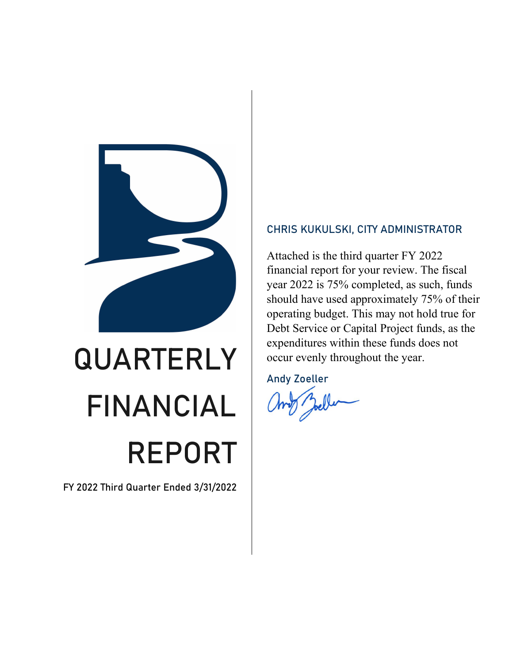

# QUARTERLY FINANCIAL REPORT

FY 2022 Third Quarter Ended 3/31/2022

#### CHRIS KUKULSKI, CITY ADMINISTRATOR

Attached is the third quarter FY 2022 financial report for your review. The fiscal year 2022 is 75% completed, as such, funds should have used approximately 75% of their operating budget. This may not hold true for Debt Service or Capital Project funds, as the expenditures within these funds does not occur evenly throughout the year.

Andy Zoeller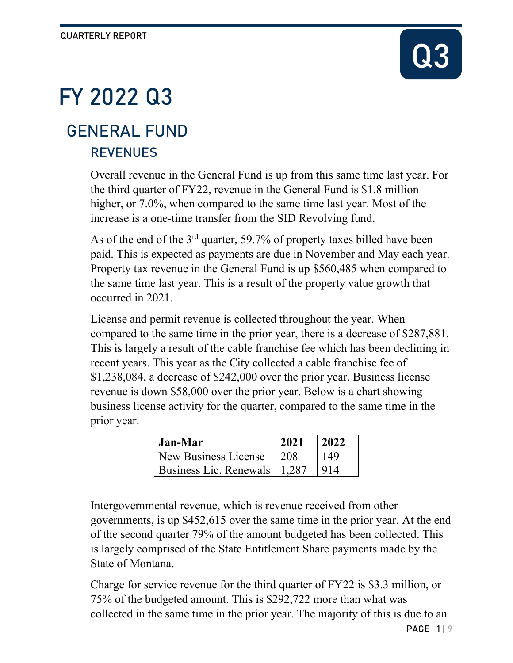# Q3

## FY 2022 Q3

## GENERAL FUND

### **REVENUES**

Overall revenue in the General Fund is up from this same time last year. For the third quarter of FY22, revenue in the General Fund is \$1.8 million higher, or 7.0%, when compared to the same time last year. Most of the increase is a one-time transfer from the SID Revolving fund.

As of the end of the  $3<sup>rd</sup>$  quarter, 59.7% of property taxes billed have been paid. This is expected as payments are due in November and May each year. Property tax revenue in the General Fund is up \$560,485 when compared to the same time last year. This is a result of the property value growth that occurred in 2021.

License and permit revenue is collected throughout the year. When compared to the same time in the prior year, there is a decrease of \$287,881. This is largely a result of the cable franchise fee which has been declining in recent years. This year as the City collected a cable franchise fee of \$1,238,084, a decrease of \$242,000 over the prior year. Business license revenue is down \$58,000 over the prior year. Below is a chart showing business license activity for the quarter, compared to the same time in the prior year.

| Jan-Mar                      | 2021 | 12022 |
|------------------------------|------|-------|
| New Business License         | 208  | 149   |
| Business Lic. Renewals 1.287 |      | 914   |

Intergovernmental revenue, which is revenue received from other governments, is up \$452,615 over the same time in the prior year. At the end of the second quarter 79% of the amount budgeted has been collected. This is largely comprised of the State Entitlement Share payments made by the State of Montana.

Charge for service revenue for the third quarter of FY22 is \$3.3 million, or 75% of the budgeted amount. This is \$292,722 more than what was collected in the same time in the prior year. The majority of this is due to an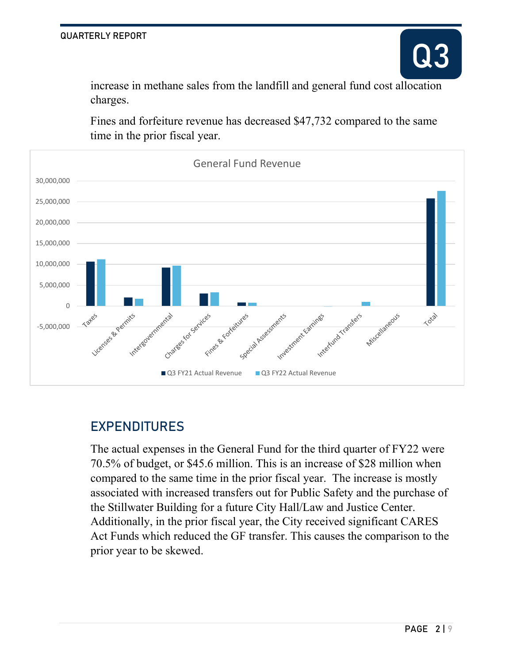increase in methane sales from the landfill and general fund cost allocation charges.

Fines and forfeiture revenue has decreased \$47,732 compared to the same time in the prior fiscal year.



### EXPENDITURES

The actual expenses in the General Fund for the third quarter of FY22 were 70.5% of budget, or \$45.6 million. This is an increase of \$28 million when compared to the same time in the prior fiscal year. The increase is mostly associated with increased transfers out for Public Safety and the purchase of the Stillwater Building for a future City Hall/Law and Justice Center. Additionally, in the prior fiscal year, the City received significant CARES Act Funds which reduced the GF transfer. This causes the comparison to the prior year to be skewed.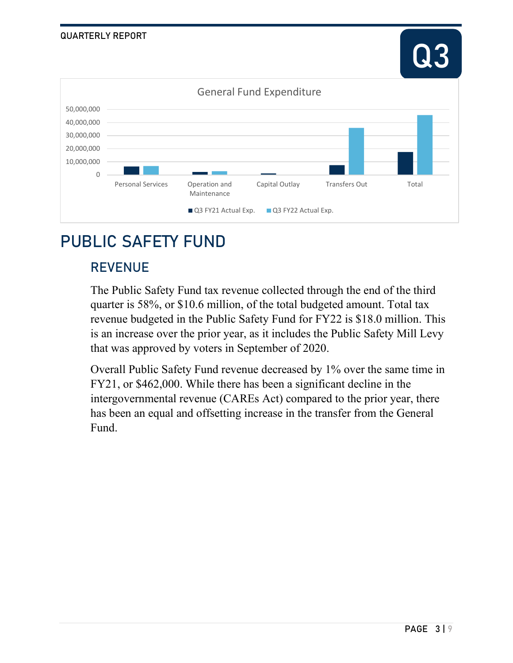

## PUBLIC SAFETY FUND

### REVENUE

The Public Safety Fund tax revenue collected through the end of the third quarter is 58%, or \$10.6 million, of the total budgeted amount. Total tax revenue budgeted in the Public Safety Fund for FY22 is \$18.0 million. This is an increase over the prior year, as it includes the Public Safety Mill Levy that was approved by voters in September of 2020.

Overall Public Safety Fund revenue decreased by 1% over the same time in FY21, or \$462,000. While there has been a significant decline in the intergovernmental revenue (CAREs Act) compared to the prior year, there has been an equal and offsetting increase in the transfer from the General Fund.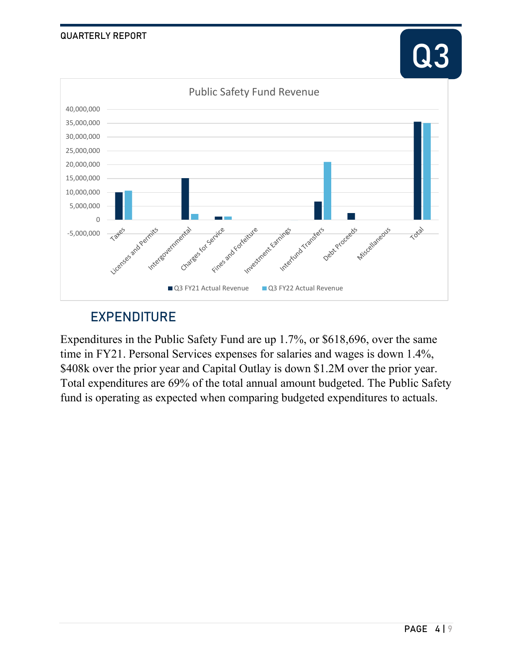

### EXPENDITURE

Expenditures in the Public Safety Fund are up 1.7%, or \$618,696, over the same time in FY21. Personal Services expenses for salaries and wages is down 1.4%, \$408k over the prior year and Capital Outlay is down \$1.2M over the prior year. Total expenditures are 69% of the total annual amount budgeted. The Public Safety fund is operating as expected when comparing budgeted expenditures to actuals.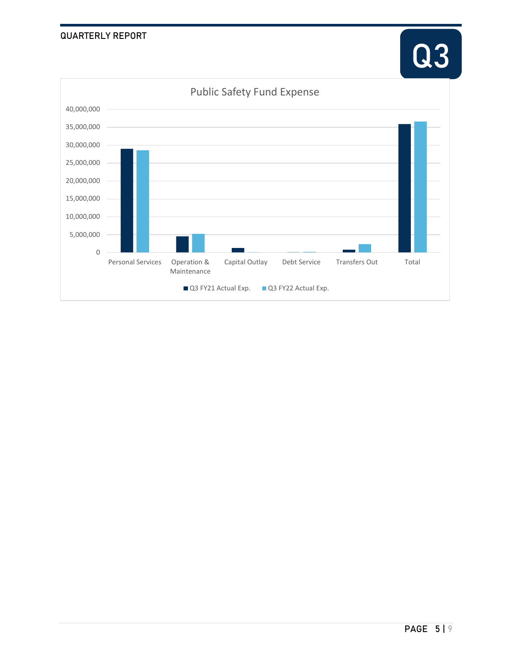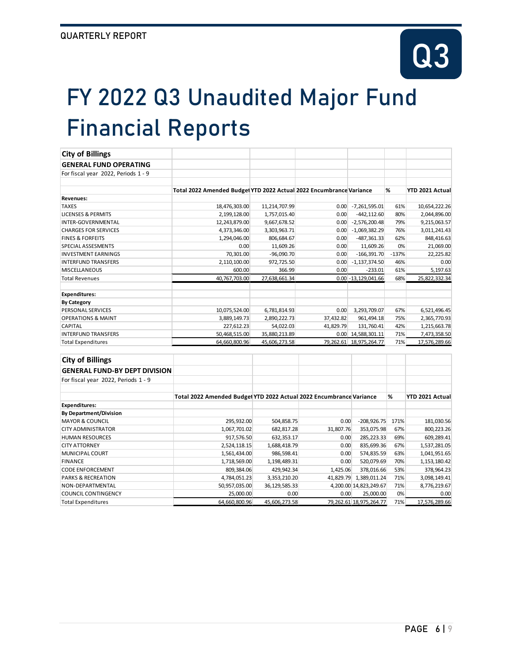

# FY 2022 Q3 Unaudited Major Fund Financial Reports

| <b>City of Billings</b>              |                                                                     |               |           |                            |         |                 |
|--------------------------------------|---------------------------------------------------------------------|---------------|-----------|----------------------------|---------|-----------------|
| <b>GENERAL FUND OPERATING</b>        |                                                                     |               |           |                            |         |                 |
| For fiscal year 2022, Periods 1 - 9  |                                                                     |               |           |                            |         |                 |
|                                      |                                                                     |               |           |                            |         |                 |
|                                      | Total 2022 Amended Budget YTD 2022 Actual 2022 Encumbrance Variance |               |           |                            | %       | YTD 2021 Actual |
| Revenues:                            |                                                                     |               |           |                            |         |                 |
| <b>TAXES</b>                         | 18,476,303.00                                                       | 11,214,707.99 | 0.00      | -7,261,595.01              | 61%     | 10,654,222.26   |
| <b>LICENSES &amp; PERMITS</b>        | 2,199,128.00                                                        | 1,757,015.40  | 0.00      | $-442, 112.60$             | 80%     | 2,044,896.00    |
| INTER-GOVERNMENTAL                   | 12,243,879.00                                                       | 9,667,678.52  |           | $0.00$ -2,576,200.48       | 79%     | 9,215,063.57    |
| <b>CHARGES FOR SERVICES</b>          | 4,373,346.00                                                        | 3,303,963.71  | 0.00      | $-1,069,382.29$            | 76%     | 3,011,241.43    |
| <b>FINES &amp; FORFEITS</b>          | 1,294,046.00                                                        | 806,684.67    | 0.00      | $-487,361.33$              | 62%     | 848,416.63      |
| SPECIAL ASSESMENTS                   | 0.00                                                                | 11,609.26     | 0.00      | 11,609.26                  | 0%      | 21,069.00       |
| <b>INVESTMENT EARNINGS</b>           | 70,301.00                                                           | $-96,090.70$  | 0.00      | $-166,391.70$              | $-137%$ | 22,225.82       |
| <b>INTERFUND TRANSFERS</b>           | 2,110,100.00                                                        | 972,725.50    | 0.00      | $-1,137,374.50$            | 46%     | 0.00            |
| MISCELLANEOUS                        | 600.00                                                              | 366.99        | 0.00      | $-233.01$                  | 61%     | 5,197.63        |
| <b>Total Revenues</b>                | 40,767,703.00                                                       | 27,638,661.34 |           | $0.00$ -13, 129, 041.66    | 68%     | 25,822,332.34   |
| <b>Expenditures:</b>                 |                                                                     |               |           |                            |         |                 |
| <b>By Category</b>                   |                                                                     |               |           |                            |         |                 |
| PERSONAL SERVICES                    | 10,075,524.00                                                       | 6,781,814.93  | 0.00      | 3,293,709.07               | 67%     | 6,521,496.45    |
| <b>OPERATIONS &amp; MAINT</b>        | 3,889,149.73                                                        | 2,890,222.73  | 37,432.82 | 961,494.18                 | 75%     | 2,365,770.93    |
| CAPITAL                              | 227,612.23                                                          | 54,022.03     | 41,829.79 | 131,760.41                 | 42%     | 1,215,663.78    |
| <b>INTERFUND TRANSFERS</b>           | 50,468,515.00                                                       | 35,880,213.89 |           | $0.00 \mid 14,588,301.11$  | 71%     | 7,473,358.50    |
| <b>Total Expenditures</b>            | 64,660,800.96                                                       | 45,606,273.58 |           | 79, 262.61 18, 975, 264.77 | 71%     | 17,576,289.66   |
| <b>City of Billings</b>              |                                                                     |               |           |                            |         |                 |
|                                      |                                                                     |               |           |                            |         |                 |
| <b>GENERAL FUND-BY DEPT DIVISION</b> |                                                                     |               |           |                            |         |                 |
| For fiscal year 2022, Periods 1 - 9  |                                                                     |               |           |                            |         |                 |
|                                      | Total 2022 Amended Budget YTD 2022 Actual 2022 Encumbrance Variance |               |           |                            | %       | YTD 2021 Actual |
| <b>Expenditures:</b>                 |                                                                     |               |           |                            |         |                 |
| <b>By Department/Division</b>        |                                                                     |               |           |                            |         |                 |
| <b>MAYOR &amp; COUNCIL</b>           | 295,932.00                                                          | 504,858.75    | 0.00      | $-208,926.75$              | 171%    | 181,030.56      |
| <b>CITY ADMINISTRATOR</b>            | 1,067,701.02                                                        | 682,817.28    | 31,807.76 | 353,075.98                 | 67%     | 800,223.26      |
| <b>HUMAN RESOURCES</b>               | 917,576.50                                                          | 632,353.17    | 0.00      | 285, 223.33                | 69%     | 609,289.41      |
| <b>CITY ATTORNEY</b>                 | 2,524,118.15                                                        | 1,688,418.79  | 0.00      | 835,699.36                 | 67%     | 1,537,281.05    |
| MUNICIPAL COURT                      | 1,561,434.00                                                        | 986,598.41    | 0.00      | 574,835.59                 | 63%     | 1,041,951.65    |
| <b>FINANCE</b>                       | 1,718,569.00                                                        | 1,198,489.31  | 0.00      | 520,079.69                 | 70%     | 1, 153, 180. 42 |
| <b>CODE ENFORCEMENT</b>              | 809,384.06                                                          | 429,942.34    | 1,425.06  | 378,016.66                 | 53%     | 378,964.23      |
| <b>PARKS &amp; RECREATION</b>        | 4,784,051.23                                                        | 3,353,210.20  |           | 41,829.79 1,389,011.24     | 71%     | 3,098,149.41    |
| NON-DEPARTMENTAL                     | 50,957,035.00                                                       | 36,129,585.33 |           | 4,200.00 14,823,249.67     | 71%     | 8,776,219.67    |
| <b>COUNCIL CONTINGENCY</b>           | 25,000.00                                                           | 0.00          | 0.00      | 25,000.00                  | 0%      | 0.00            |
| <b>Total Expenditures</b>            | 64,660,800.96                                                       | 45,606,273.58 |           | 79, 262.61 18, 975, 264.77 | 71%     | 17,576,289.66   |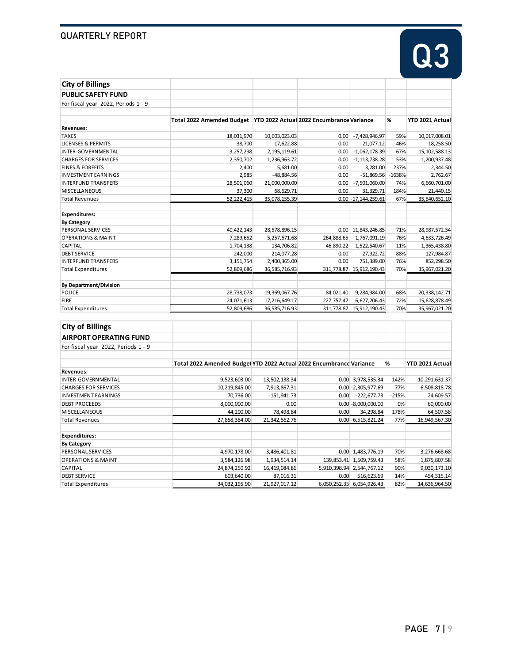| <b>City of Billings</b>             |                                                                       |               |            |                          |          |                  |
|-------------------------------------|-----------------------------------------------------------------------|---------------|------------|--------------------------|----------|------------------|
| <b>PUBLIC SAFETY FUND</b>           |                                                                       |               |            |                          |          |                  |
| For fiscal year 2022, Periods 1 - 9 |                                                                       |               |            |                          |          |                  |
|                                     |                                                                       |               |            |                          |          |                  |
|                                     | Total 2022 Amemded Budget   YTD 2022 Actual 2022 Encumbrance Variance |               |            |                          | %        | YTD 2021 Actual  |
| <b>Revenues:</b>                    |                                                                       |               |            |                          |          |                  |
| <b>TAXES</b>                        | 18,031,970                                                            | 10,603,023.03 | 0.00       | -7,428,946.97            | 59%      | 10,017,008.01    |
| <b>LICENSES &amp; PERMITS</b>       | 38,700                                                                | 17,622.88     | 0.00       | $-21,077.12$             | 46%      | 18,258.50        |
| <b>INTER-GOVERNMENTAL</b>           | 3,257,298                                                             | 2,195,119.61  | 0.00       | $-1,062,178.39$          | 67%      | 15, 102, 588. 13 |
| <b>CHARGES FOR SERVICES</b>         | 2,350,702                                                             | 1,236,963.72  | 0.00       | $-1,113,738.28$          | 53%      | 1,200,937.48     |
| <b>FINES &amp; FORFEITS</b>         | 2,400                                                                 | 5,681.00      | 0.00       | 3,281.00                 | 237%     | 2,344.50         |
| <b>INVESTMENT EARNINGS</b>          | 2,985                                                                 | $-48,884.56$  | 0.00       | $-51,869.56$             | $-1638%$ | 2,762.67         |
| <b>INTERFUND TRANSFERS</b>          | 28,501,060                                                            | 21,000,000.00 | 0.00       | $-7,501,060.00$          | 74%      | 6,660,701.00     |
| <b>MISCELLANEOUS</b>                | 37,300                                                                | 68,629.71     | 0.00       | 31,329.71                | 184%     | 21,440.15        |
| <b>Total Revenues</b>               | 52,222,415                                                            | 35,078,155.39 |            | $0.00$ -17,144,259.61    | 67%      | 35,540,652.10    |
| <b>Expenditures:</b>                |                                                                       |               |            |                          |          |                  |
| <b>By Category</b>                  |                                                                       |               |            |                          |          |                  |
| PERSONAL SERVICES                   | 40,422,143                                                            | 28,578,896.15 |            | 0.00 11,843,246.85       | 71%      | 28,987,572.54    |
| <b>OPERATIONS &amp; MAINT</b>       | 7,289,652                                                             | 5,257,671.68  | 264,888.65 | 1,767,091.19             | 76%      | 4,633,726.49     |
| <b>CAPITAL</b>                      | 1,704,138                                                             | 134,706.82    | 46,890.22  | 1,522,540.67             | 11%      | 1,365,438.80     |
| <b>DEBT SERVICE</b>                 | 242,000                                                               | 214,077.28    | 0.00       | 27,922.72                | 88%      | 127,984.87       |
| <b>INTERFUND TRANSFERS</b>          | 3,151,754                                                             | 2,400,365.00  | 0.00       | 751,389.00               | 76%      | 852,298.50       |
| <b>Total Expenditures</b>           | 52,809,686                                                            | 36,585,716.93 |            | 311,778.87 15,912,190.43 | 70%      | 35,967,021.20    |
| <b>By Department/Division</b>       |                                                                       |               |            |                          |          |                  |
| <b>POLICE</b>                       | 28,738,073                                                            | 19,369,067.76 | 84,021.40  | 9,284,984.00             | 68%      | 20,338,142.71    |
| <b>FIRE</b>                         | 24,071,613                                                            | 17,216,649.17 | 227,757.47 | 6,627,206.43             | 72%      | 15,628,878.49    |
| <b>Total Expenditures</b>           | 52,809,686                                                            | 36,585,716.93 |            | 311,778.87 15,912,190.43 | 70%      | 35,967,021.20    |
|                                     |                                                                       |               |            |                          |          |                  |
| <b>City of Billings</b>             |                                                                       |               |            |                          |          |                  |
| <b>AIRPORT OPERATING FUND</b>       |                                                                       |               |            |                          |          |                  |
| For fiscal year 2022, Periods 1 - 9 |                                                                       |               |            |                          |          |                  |

|                               | Total 2022 Amended Budget YTD 2022 Actual 2022 Encumbrance Variance |               |      |                           | %       | YTD 2021 Actual |
|-------------------------------|---------------------------------------------------------------------|---------------|------|---------------------------|---------|-----------------|
| <b>Revenues:</b>              |                                                                     |               |      |                           |         |                 |
| INTER-GOVERNMENTAL            | 9,523,603.00                                                        | 13,502,138.34 |      | 0.00 3,978,535.34         | 142%    | 10,291,631.37   |
| <b>CHARGES FOR SERVICES</b>   | 10,219,845.00                                                       | 7,913,867.31  |      | $0.00 - 2,305,977.69$     | 77%     | 6,508,818.78    |
| <b>INVESTMENT EARNINGS</b>    | 70,736.00                                                           | $-151,941.73$ | 0.00 | $-222,677.73$             | $-215%$ | 24,609.57       |
| <b>DEBT PROCEEDS</b>          | 8,000,000.00                                                        | 0.00          |      | $0.00 - 8,000,000.00$     | 0%      | 60,000.00       |
| <b>MISCELLANEOUS</b>          | 44,200.00                                                           | 78,498.84     | 0.00 | 34,298.84                 | 178%    | 64,507.58       |
| <b>Total Revenues</b>         | 27,858,384.00                                                       | 21,342,562.76 |      | $0.00 - 6,515,821.24$     | 77%     | 16,949,567.30   |
| <b>Expenditures:</b>          |                                                                     |               |      |                           |         |                 |
| <b>By Category</b>            |                                                                     |               |      |                           |         |                 |
| PERSONAL SERVICES             | 4,970,178.00                                                        | 3,486,401.81  |      | $0.00 \mid 1,483,776.19$  | 70%     | 3,276,668.68    |
| <b>OPERATIONS &amp; MAINT</b> | 3,584,126.98                                                        | 1,934,514.14  |      | 139,853.41 1,509,759.43   | 58%     | 1,875,807.58    |
| <b>CAPITAL</b>                | 24,874,250.92                                                       | 16,419,084.86 |      | 5,910,398.94 2,544,767.12 | 90%     | 9,030,173.10    |
| <b>DEBT SERVICE</b>           | 603,640.00                                                          | 87,016.31     | 0.00 | 516,623.69                | 14%     | 454,315.14      |
| <b>Total Expenditures</b>     | 34,032,195.90                                                       | 21,927,017.12 |      | 6,050,252.35 6,054,926.43 | 82%     | 14,636,964.50   |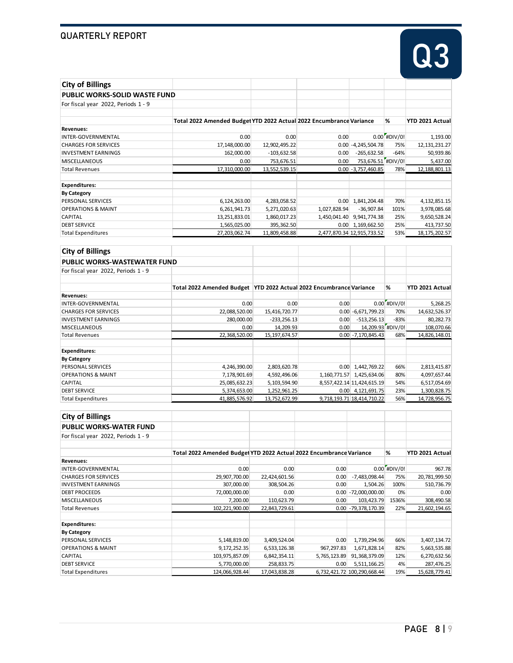| <b>City of Billings</b>                          |                                                                       |                               |              |                                                 |                |                               |
|--------------------------------------------------|-----------------------------------------------------------------------|-------------------------------|--------------|-------------------------------------------------|----------------|-------------------------------|
| <b>PUBLIC WORKS-SOLID WASTE FUND</b>             |                                                                       |                               |              |                                                 |                |                               |
| For fiscal year 2022, Periods 1 - 9              |                                                                       |                               |              |                                                 |                |                               |
|                                                  |                                                                       |                               |              |                                                 |                |                               |
|                                                  | Total 2022 Amended Budget YTD 2022 Actual 2022 Encumbrance Variance   |                               |              |                                                 | %              | YTD 2021 Actual               |
| Revenues:                                        |                                                                       |                               |              |                                                 |                |                               |
| INTER-GOVERNMENTAL                               | 0.00                                                                  | 0.00                          | 0.00         |                                                 | $0.00$ #DIV/0! | 1,193.00                      |
| <b>CHARGES FOR SERVICES</b>                      | 17,148,000.00                                                         | 12,902,495.22                 |              | $0.00 - 4,245,504.78$                           | 75%            | 12, 131, 231. 27              |
| <b>INVESTMENT EARNINGS</b>                       | 162,000.00                                                            | $-103,632.58$                 | 0.00         | $-265,632.58$                                   | $-64%$         | 50,939.86                     |
| MISCELLANEOUS                                    | 0.00                                                                  | 753,676.51                    | 0.00         | 753,676.51 #DIV/0!                              |                | 5,437.00                      |
| <b>Total Revenues</b>                            | 17,310,000.00                                                         | 13,552,539.15                 |              | $0.00 - 3,757,460.85$                           | 78%            | 12,188,801.13                 |
| <b>Expenditures:</b>                             |                                                                       |                               |              |                                                 |                |                               |
| <b>By Category</b>                               |                                                                       |                               |              |                                                 |                |                               |
| PERSONAL SERVICES                                | 6,124,263.00                                                          | 4,283,058.52                  |              | $0.00 \mid 1,841,204.48$                        | 70%            | 4,132,851.15                  |
| <b>OPERATIONS &amp; MAINT</b>                    | 6,261,941.73                                                          | 5,271,020.63                  | 1,027,828.94 | $-36,907.84$                                    | 101%           | 3,978,085.68                  |
| <b>CAPITAL</b>                                   | 13, 251, 833.01                                                       | 1,860,017.23                  |              | 1,450,041.40 9,941,774.38                       | 25%            | 9,650,528.24                  |
| <b>DEBT SERVICE</b>                              | 1,565,025.00                                                          | 395,362.50                    |              | 0.00 1,169,662.50                               | 25%            | 413,737.50                    |
| <b>Total Expenditures</b>                        | 27,203,062.74                                                         | 11,809,458.88                 |              | 2,477,870.34 12,915,733.52                      | 53%            | 18, 175, 202.57               |
|                                                  |                                                                       |                               |              |                                                 |                |                               |
| <b>City of Billings</b>                          |                                                                       |                               |              |                                                 |                |                               |
| <b>PUBLIC WORKS-WASTEWATER FUND</b>              |                                                                       |                               |              |                                                 |                |                               |
| For fiscal year 2022, Periods 1 - 9              |                                                                       |                               |              |                                                 |                |                               |
|                                                  | Total 2022 Amended Budget   YTD 2022 Actual 2022 Encumbrance Variance |                               |              |                                                 | %              | YTD 2021 Actual               |
| <b>Revenues:</b>                                 |                                                                       |                               |              |                                                 |                |                               |
| INTER-GOVERNMENTAL                               | 0.00                                                                  | 0.00                          | 0.00         |                                                 | $0.00$ #DIV/0! | 5,268.25                      |
| <b>CHARGES FOR SERVICES</b>                      | 22,088,520.00                                                         | 15,416,720.77                 |              | $0.00 - 6,671,799.23$                           | 70%            | 14,632,526.37                 |
| <b>INVESTMENT EARNINGS</b>                       | 280,000.00                                                            | $-233,256.13$                 | 0.00         | $-513,256.13$                                   | $-83%$         | 80,282.73                     |
| <b>MISCELLANEOUS</b>                             | 0.00                                                                  | 14,209.93                     | 0.00         | 14,209.93 #DIV/0!                               |                | 108,070.66                    |
| <b>Total Revenues</b>                            | 22,368,520.00                                                         | 15, 197, 674. 57              |              | $0.00 - 7,170,845.43$                           | 68%            | 14,826,148.01                 |
|                                                  |                                                                       |                               |              |                                                 |                |                               |
| <b>Expenditures:</b>                             |                                                                       |                               |              |                                                 |                |                               |
| <b>By Category</b><br>PERSONAL SERVICES          | 4,246,390.00                                                          | 2,803,620.78                  |              | $0.00 \mid 1,442,769.22$                        | 66%            | 2,813,415.87                  |
| <b>OPERATIONS &amp; MAINT</b>                    | 7,178,901.69                                                          | 4,592,496.06                  |              | 1,160,771.57 1,425,634.06                       | 80%            | 4,097,657.44                  |
| CAPITAL                                          | 25,085,632.23                                                         | 5,103,594.90                  |              | 8,557,422.14 11,424,615.19                      | 54%            | 6,517,054.69                  |
| <b>DEBT SERVICE</b>                              |                                                                       |                               |              |                                                 |                |                               |
| <b>Total Expenditures</b>                        | 5,374,653.00<br>41,885,576.92                                         | 1,252,961.25<br>13,752,672.99 |              | 0.00 4,121,691.75<br>9,718,193.71 18,414,710.22 | 23%<br>56%     | 1,300,828.75<br>14,728,956.75 |
|                                                  |                                                                       |                               |              |                                                 |                |                               |
| <b>City of Billings</b>                          |                                                                       |                               |              |                                                 |                |                               |
| <b>PUBLIC WORKS-WATER FUND</b>                   |                                                                       |                               |              |                                                 |                |                               |
| For fiscal year 2022, Periods 1 - 9              |                                                                       |                               |              |                                                 |                |                               |
|                                                  |                                                                       |                               |              |                                                 |                |                               |
|                                                  | Total 2022 Amended Budget YTD 2022 Actual 2022 Encumbrance Variance   |                               |              |                                                 | %              | YTD 2021 Actual               |
| <b>Revenues:</b><br>INTER-GOVERNMENTAL           | 0.00                                                                  | 0.00                          | 0.00         |                                                 | $0.00$ #DIV/0! | 967.78                        |
| <b>CHARGES FOR SERVICES</b>                      | 29,907,700.00                                                         | 22,424,601.56                 | 0.00         | $-7,483,098.44$                                 | 75%            | 20,781,999.50                 |
| <b>INVESTMENT EARNINGS</b>                       | 307,000.00                                                            | 308,504.26                    | 0.00         | 1,504.26                                        | 100%           | 510,736.79                    |
| <b>DEBT PROCEEDS</b>                             | 72,000,000.00                                                         | 0.00                          |              | $0.00$ -72,000,000.00                           | 0%             | 0.00                          |
| <b>MISCELLANEOUS</b>                             | 7,200.00                                                              | 110,623.79                    | 0.00         | 103,423.79                                      | 1536%          | 308,490.58                    |
| <b>Total Revenues</b>                            | 102,221,900.00                                                        | 22,843,729.61                 |              | $0.00$ -79,378,170.39                           | 22%            | 21,602,194.65                 |
|                                                  |                                                                       |                               |              |                                                 |                |                               |
| <b>Expenditures:</b>                             |                                                                       |                               |              |                                                 |                |                               |
| <b>By Category</b>                               |                                                                       |                               |              |                                                 |                |                               |
| PERSONAL SERVICES                                | 5,148,819.00                                                          | 3,409,524.04                  | 0.00         | 1,739,294.96                                    | 66%            | 3,407,134.72                  |
| <b>OPERATIONS &amp; MAINT</b>                    | 9,172,252.35                                                          | 6,533,126.38                  | 967,297.83   | 1,671,828.14                                    | 82%            | 5,663,535.88                  |
| CAPITAL                                          | 103,975,857.09                                                        | 6,842,354.11                  | 5,765,123.89 | 91,368,379.09                                   | 12%            | 6,270,632.56                  |
| <b>DEBT SERVICE</b><br><b>Total Expenditures</b> | 5,770,000.00<br>124,066,928.44                                        | 258,833.75                    | 0.00         | 5,511,166.25<br>6,732,421.72 100,290,668.44     | 4%             | 287,476.25                    |
|                                                  |                                                                       | 17,043,838.28                 |              |                                                 | 19%            | 15,628,779.41                 |